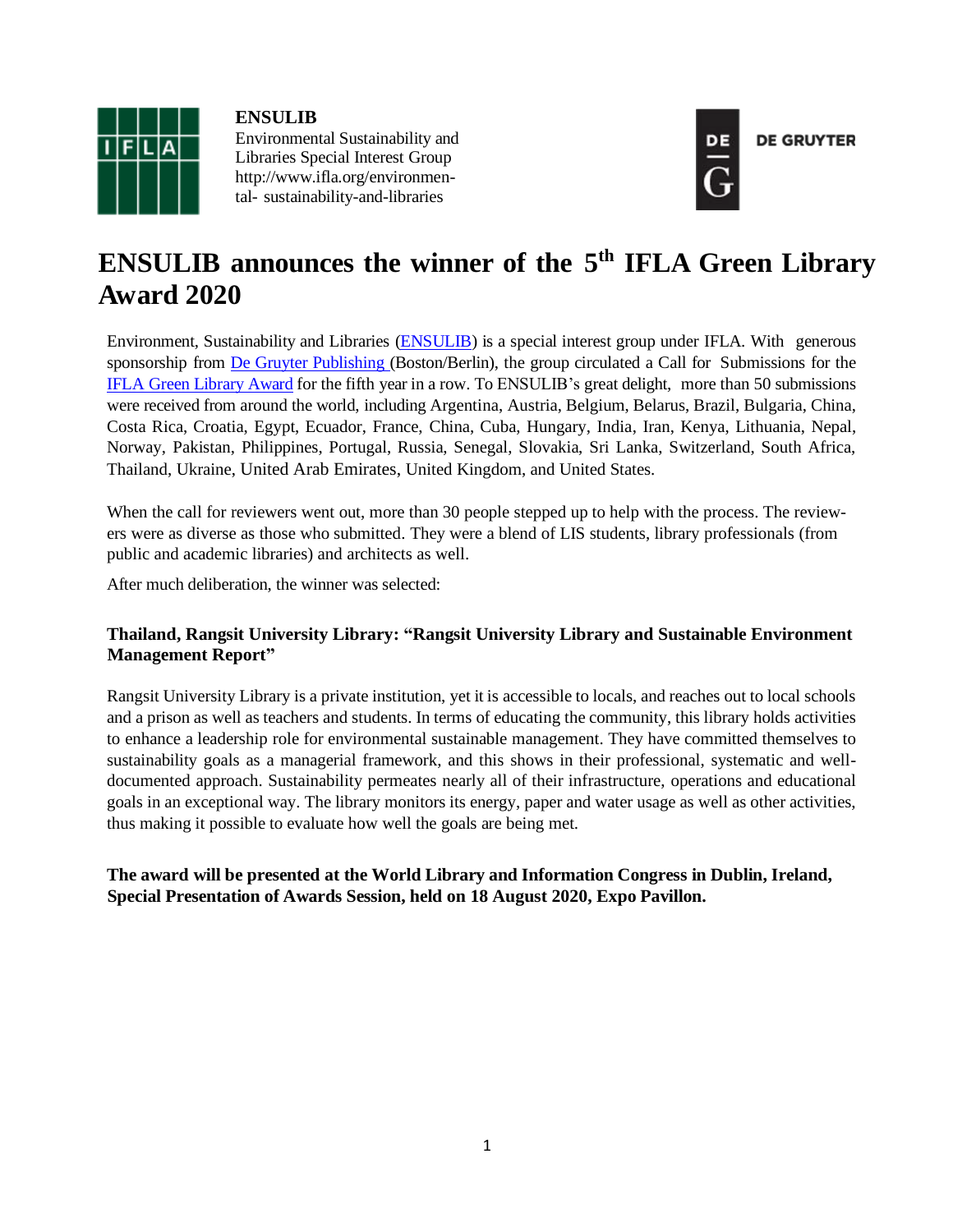

**ENSULIB** Environmental Sustainability and Libraries Special Interest Grou[p](http://www.ifla.org/environmental-) [http://www.ifla.org/environmen](http://www.ifla.org/environmental-)[tal-](http://www.ifla.org/environmental-) sustainability-and-libraries



# **ENSULIB announces the winner of the 5 th IFLA Green Library Award 2020**

Environment, Sustainability and Libraries [\(ENSULIB\)](https://www.ifla.org/environment-sustainability-and-libraries) is a special interest group under IFLA. With generous sponsorship from De Gruyter [Publishing](https://www.degruyter.com/dg/page/15/the-publishing-house) (Boston/Berlin), the group circulated a Call for Submissions for the IFLA Green [Library Award](https://www.ifla.org/node/10159) for the fifth year in a row. To ENSULIB's great delight, more than 50 submissions were received from around the world, including Argentina, Austria, Belgium, Belarus, Brazil, Bulgaria, China, Costa Rica, Croatia, Egypt, Ecuador, France, China, Cuba, Hungary, India, Iran, Kenya, Lithuania, Nepal, Norway, Pakistan, Philippines, Portugal, Russia, Senegal, Slovakia, Sri Lanka, Switzerland, South Africa, Thailand, Ukraine, United Arab Emirates, United Kingdom, and United States.

When the call for reviewers went out, more than 30 people stepped up to help with the process. The reviewers were as diverse as those who submitted. They were a blend of LIS students, library professionals (from public and academic libraries) and architects as well.

After much deliberation, the winner was selected:

### **Thailand, Rangsit University Library: "Rangsit University Library and Sustainable Environment Management Report"**

Rangsit University Library is a private institution, yet it is accessible to locals, and reaches out to local schools and a prison as well as teachers and students. In terms of educating the community, this library holds activities to enhance a leadership role for environmental sustainable management. They have committed themselves to sustainability goals as a managerial framework, and this shows in their professional, systematic and welldocumented approach. Sustainability permeates nearly all of their infrastructure, operations and educational goals in an exceptional way. The library monitors its energy, paper and water usage as well as other activities, thus making it possible to evaluate how well the goals are being met.

**The award will be presented at the World Library and Information Congress in Dublin, Ireland, Special Presentation of Awards Session, held on 18 August 2020, Expo Pavillon.**